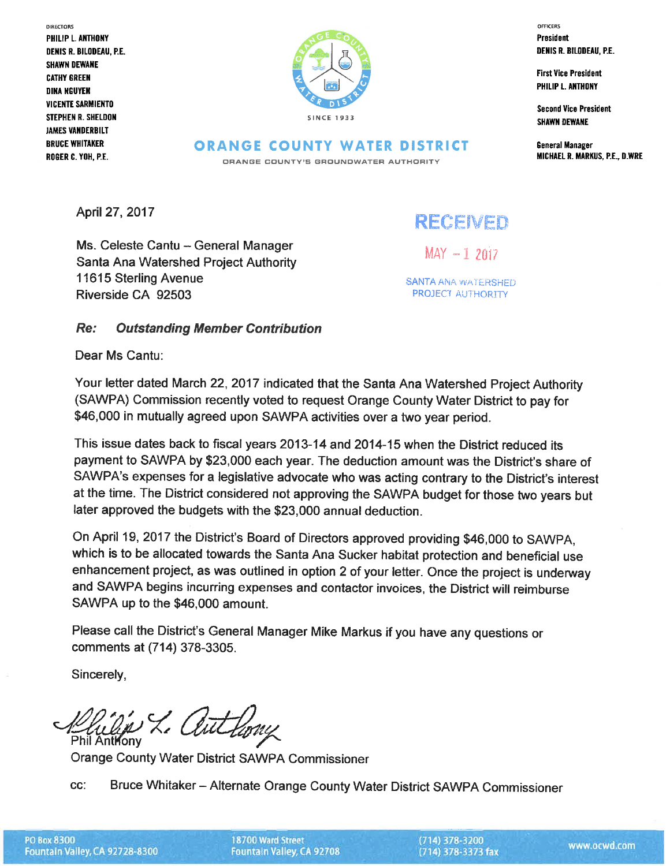DIRECTORS PHILIP L. ANTHONY **DENIS R. BILODEAU, P.E. SHAWN DEWANE CATHY GREEN DINA NGUYEN VICENTE SARMIENTO** STEPHEN R. SHELDON **JAMES VANDERBILT BRUCE WHITAKER** ROGER C. YOH, P.E.



OFFICERS **President** DENIS R. BILODEAU, P.E.

**First Vice President** PHILIP L. ANTHONY

**Second Vice President SHAWN DEWANE** 

**General Manager** MICHAEL R. MARKUS, P.E., D.WRE

**ORANGE COUNTY WATER DISTRICT** ORANGE COUNTY'S GROUNDWATER AUTHORITY

April 27, 2017

## RECEMED

Ms. Celeste Cantu - General Manager Santa Ana Watershed Project Authority 11615 Sterling Avenue Riverside CA 92503

 $MAX - 12017$ 

**SANTA ANA WATERSHED** PROJECT AUTHORITY

## Re: **Outstanding Member Contribution**

Dear Ms Cantu:

Your letter dated March 22, 2017 indicated that the Santa Ana Watershed Project Authority (SAWPA) Commission recently voted to request Orange County Water District to pay for \$46,000 in mutually agreed upon SAWPA activities over a two year period.

This issue dates back to fiscal years 2013-14 and 2014-15 when the District reduced its payment to SAWPA by \$23,000 each year. The deduction amount was the District's share of SAWPA's expenses for a legislative advocate who was acting contrary to the District's interest at the time. The District considered not approving the SAWPA budget for those two years but later approved the budgets with the \$23,000 annual deduction.

On April 19, 2017 the District's Board of Directors approved providing \$46,000 to SAWPA. which is to be allocated towards the Santa Ana Sucker habitat protection and beneficial use enhancement project, as was outlined in option 2 of your letter. Once the project is underway and SAWPA begins incurring expenses and contactor invoices, the District will reimburse SAWPA up to the \$46,000 amount.

Please call the District's General Manager Mike Markus if you have any questions or comments at (714) 378-3305.

Sincerely,

Phil Anthony

Orange County Water District SAWPA Commissioner

CC: Bruce Whitaker - Alternate Orange County Water District SAWPA Commissioner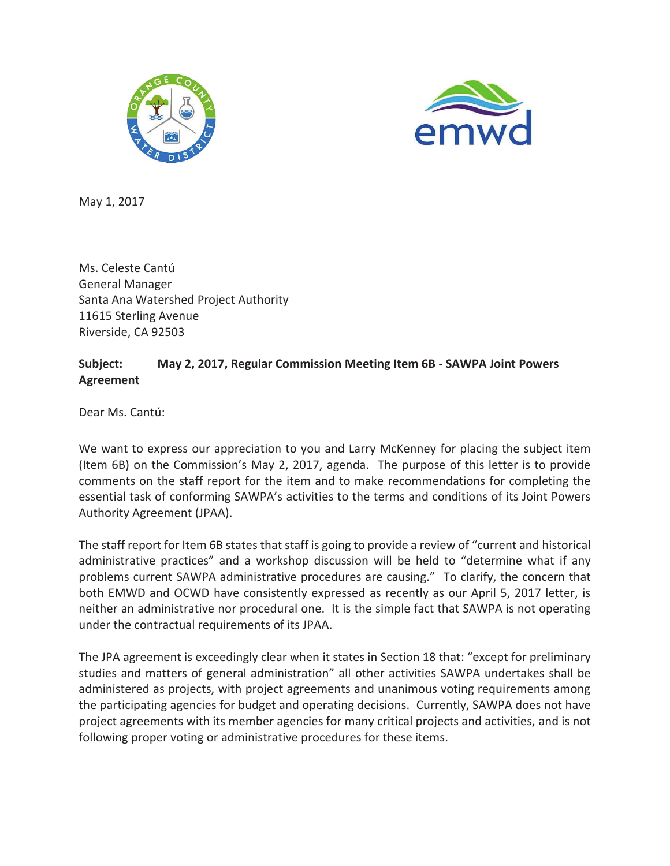



May 1, 2017

Ms. Celeste Cantú General Manager Santa Ana Watershed Project Authority 11615 Sterling Avenue Riverside, CA 92503

## **Subject: May 2, 2017, Regular Commission Meeting Item 6B - SAWPA Joint Powers Agreement**

Dear Ms. Cantú:

We want to express our appreciation to you and Larry McKenney for placing the subject item (Item 6B) on the Commission's May 2, 2017, agenda. The purpose of this letter is to provide comments on the staff report for the item and to make recommendations for completing the essential task of conforming SAWPA's activities to the terms and conditions of its Joint Powers Authority Agreement (JPAA).

The staff report for Item 6B states that staff is going to provide a review of "current and historical administrative practices" and a workshop discussion will be held to "determine what if any problems current SAWPA administrative procedures are causing." To clarify, the concern that both EMWD and OCWD have consistently expressed as recently as our April 5, 2017 letter, is neither an administrative nor procedural one. It is the simple fact that SAWPA is not operating under the contractual requirements of its JPAA.

The JPA agreement is exceedingly clear when it states in Section 18 that: "except for preliminary studies and matters of general administration" all other activities SAWPA undertakes shall be administered as projects, with project agreements and unanimous voting requirements among the participating agencies for budget and operating decisions. Currently, SAWPA does not have project agreements with its member agencies for many critical projects and activities, and is not following proper voting or administrative procedures for these items.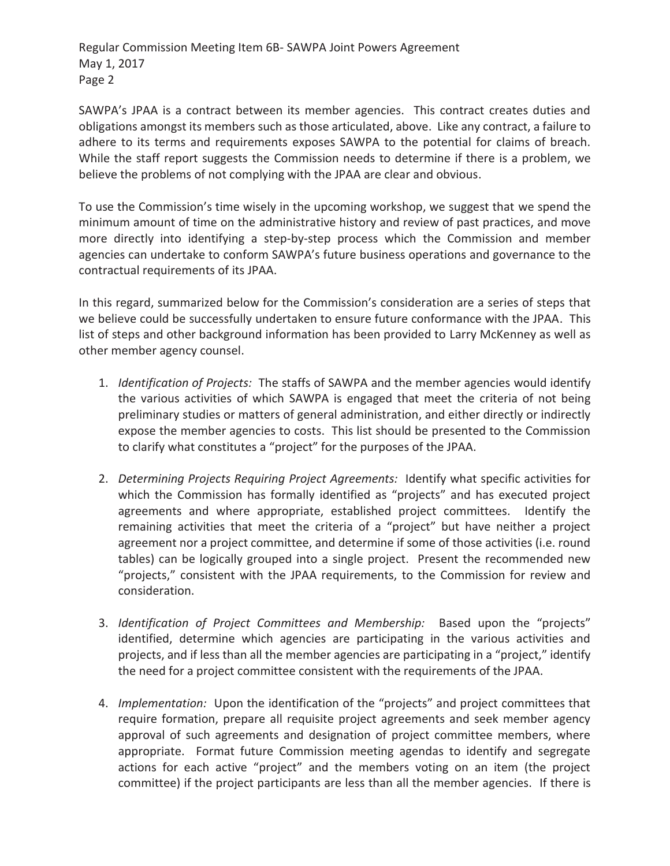Regular Commission Meeting Item 6B- SAWPA Joint Powers Agreement May 1, 2017 Page 2

SAWPA's JPAA is a contract between its member agencies. This contract creates duties and obligations amongst its members such as those articulated, above. Like any contract, a failure to adhere to its terms and requirements exposes SAWPA to the potential for claims of breach. While the staff report suggests the Commission needs to determine if there is a problem, we believe the problems of not complying with the JPAA are clear and obvious.

To use the Commission's time wisely in the upcoming workshop, we suggest that we spend the minimum amount of time on the administrative history and review of past practices, and move more directly into identifying a step-by-step process which the Commission and member agencies can undertake to conform SAWPA's future business operations and governance to the contractual requirements of its JPAA.

In this regard, summarized below for the Commission's consideration are a series of steps that we believe could be successfully undertaken to ensure future conformance with the JPAA. This list of steps and other background information has been provided to Larry McKenney as well as other member agency counsel.

- 1. *Identification of Projects:* The staffs of SAWPA and the member agencies would identify the various activities of which SAWPA is engaged that meet the criteria of not being preliminary studies or matters of general administration, and either directly or indirectly expose the member agencies to costs. This list should be presented to the Commission to clarify what constitutes a "project" for the purposes of the JPAA.
- 2. *Determining Projects Requiring Project Agreements:* Identify what specific activities for which the Commission has formally identified as "projects" and has executed project agreements and where appropriate, established project committees. Identify the remaining activities that meet the criteria of a "project" but have neither a project agreement nor a project committee, and determine if some of those activities (i.e. round tables) can be logically grouped into a single project. Present the recommended new "projects," consistent with the JPAA requirements, to the Commission for review and consideration.
- 3. *Identification of Project Committees and Membership:* Based upon the "projects" identified, determine which agencies are participating in the various activities and projects, and if less than all the member agencies are participating in a "project," identify the need for a project committee consistent with the requirements of the JPAA.
- 4. *Implementation:* Upon the identification of the "projects" and project committees that require formation, prepare all requisite project agreements and seek member agency approval of such agreements and designation of project committee members, where appropriate. Format future Commission meeting agendas to identify and segregate actions for each active "project" and the members voting on an item (the project committee) if the project participants are less than all the member agencies. If there is